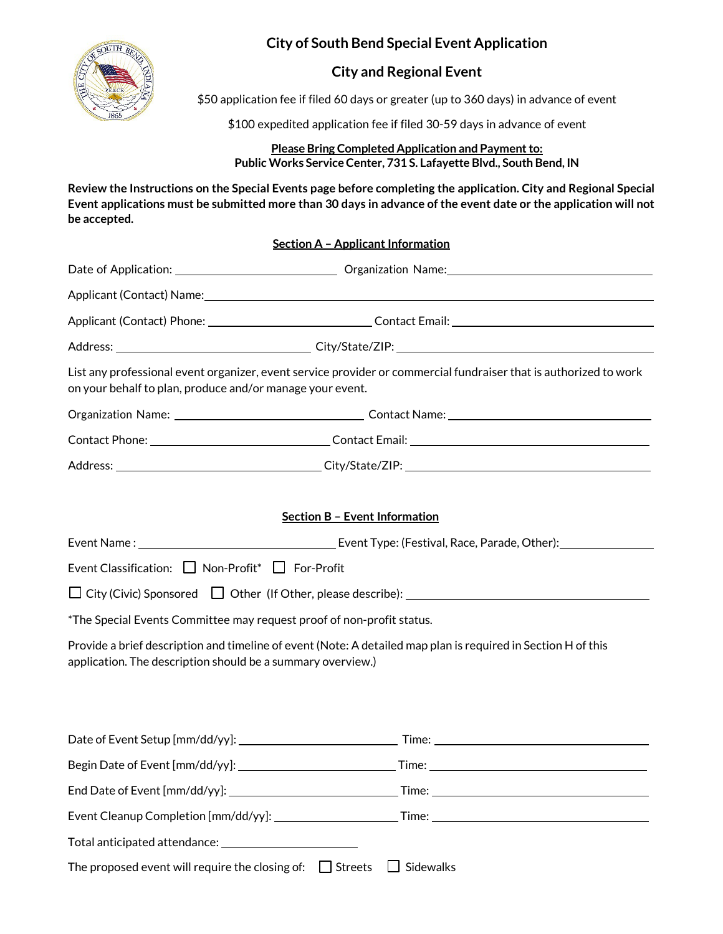**City of South Bend Special Event Application** 



# **City and Regional Event**

\$50 application fee if filed 60 days or greater (up to 360 days) in advance of event

\$100 expedited application fee if filed 30-59 days in advance of event

**Please Bring Completed Application and Payment to: Public Works Service Center, 731 S. Lafayette Blvd., South Bend, IN**

**Review the Instructions on the Special Events page before completing the application. City and Regional Special Event applications must be submitted more than 30 days in advance of the event date or the application will not be accepted.**

## **Section A – Applicant Information**

| Applicant (Contact) Name: Name: 2008 12:00 12:00 12:00 12:00 12:00 12:00 12:00 12:00 12:00 12:00 12:00 12:00 1                                                                 |  |
|--------------------------------------------------------------------------------------------------------------------------------------------------------------------------------|--|
|                                                                                                                                                                                |  |
|                                                                                                                                                                                |  |
| List any professional event organizer, event service provider or commercial fundraiser that is authorized to work<br>on your behalf to plan, produce and/or manage your event. |  |
|                                                                                                                                                                                |  |
|                                                                                                                                                                                |  |
|                                                                                                                                                                                |  |
|                                                                                                                                                                                |  |
| <b>Section B - Event Information</b>                                                                                                                                           |  |
|                                                                                                                                                                                |  |
| Event Classification: □ Non-Profit* □ For-Profit                                                                                                                               |  |
|                                                                                                                                                                                |  |
| *The Special Events Committee may request proof of non-profit status.                                                                                                          |  |
| Provide a brief description and timeline of event (Note: A detailed map plan is required in Section H of this<br>application. The description should be a summary overview.)   |  |
|                                                                                                                                                                                |  |
|                                                                                                                                                                                |  |
|                                                                                                                                                                                |  |
|                                                                                                                                                                                |  |
|                                                                                                                                                                                |  |
|                                                                                                                                                                                |  |
| The proposed event will require the closing of: $\Box$ Streets $\Box$ Sidewalks                                                                                                |  |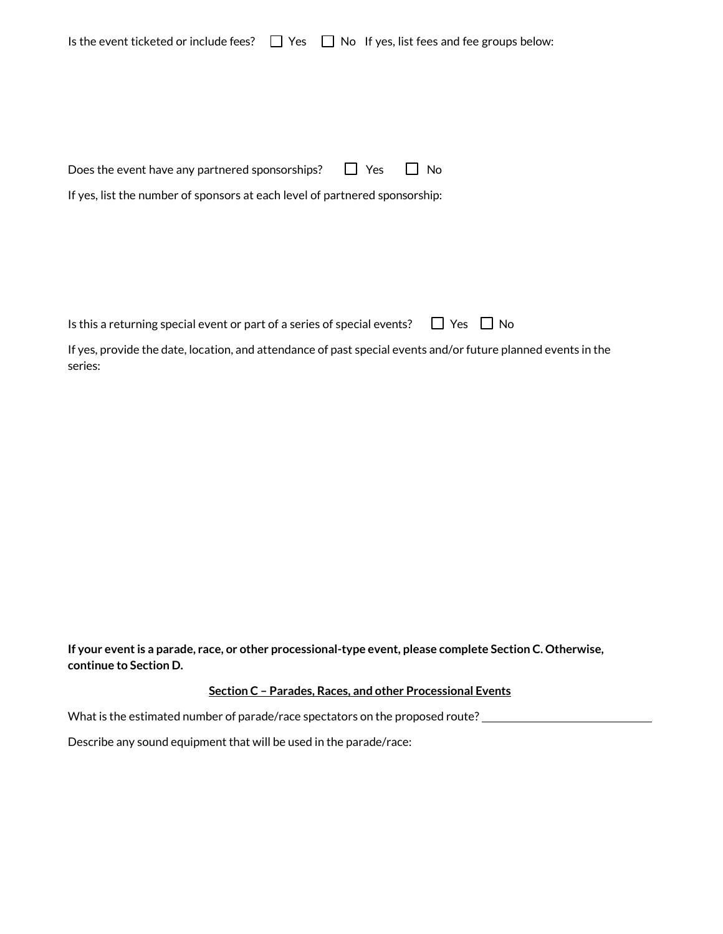|  |  | Is the event ticketed or include fees? $\Box$ Yes $\Box$ No If yes, list fees and fee groups below: |  |
|--|--|-----------------------------------------------------------------------------------------------------|--|
|--|--|-----------------------------------------------------------------------------------------------------|--|

| Does the event have any partnered sponsorships? | $\Box$ Yes $\Box$ No |
|-------------------------------------------------|----------------------|
|                                                 |                      |

If yes, list the number of sponsors at each level of partnered sponsorship:

|  | Is this a returning special event or part of a series of special events? $\Box$ Yes $\Box$ No |  |  |  |  |  |
|--|-----------------------------------------------------------------------------------------------|--|--|--|--|--|
|--|-----------------------------------------------------------------------------------------------|--|--|--|--|--|

If yes, provide the date, location, and attendance of past special events and/or future planned events in the series:

**If your eventis a parade, race, or other processional-type event, please complete Section C. Otherwise, continue to Section D.**

## **Section C – Parades, Races, and other Processional Events**

What is the estimated number of parade/race spectators on the proposed route? \_\_\_\_\_\_\_\_\_\_\_\_\_\_\_\_\_\_\_\_\_\_\_\_\_\_\_\_\_\_\_\_

Describe any sound equipment that will be used in the parade/race: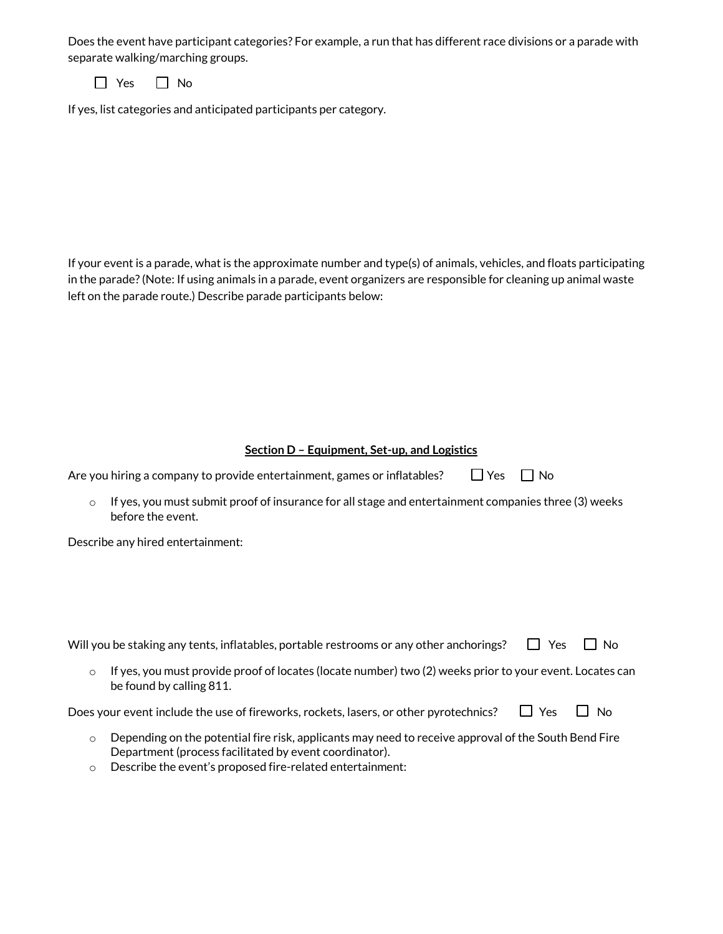Does the event have participant categories? For example, a run that has different race divisions or a parade with separate walking/marching groups.

 $\Box$  Yes  $\Box$  No

If yes, list categories and anticipated participants per category.

If your event is a parade, what is the approximate number and type(s) of animals, vehicles, and floats participating in the parade? (Note: If using animals in a parade, event organizers are responsible for cleaning up animal waste left on the parade route.) Describe parade participants below:

#### **Section D – Equipment, Set-up, and Logistics**

| Are you hiring a company to provide entertainment, games or inflatables? |  | $\Box$ Yes $\Box$ No |  |
|--------------------------------------------------------------------------|--|----------------------|--|
|--------------------------------------------------------------------------|--|----------------------|--|

 $\circ$  If yes, you must submit proof of insurance for all stage and entertainment companies three (3) weeks before the event.

Describe any hired entertainment:

| Will you be staking any tents, inflatables, portable restrooms or any other anchorings? $\Box$ Yes $\Box$ No |  |
|--------------------------------------------------------------------------------------------------------------|--|
|                                                                                                              |  |

 $\circ$  If yes, you must provide proof of locates (locate number) two (2) weeks prior to your event. Locates can be found by calling 811.

| Does your event include the use of fireworks, rockets, lasers, or other pyrotechnics? $\Box$ Yes $\Box$ No |  |  |
|------------------------------------------------------------------------------------------------------------|--|--|
|------------------------------------------------------------------------------------------------------------|--|--|

- $\circ$  Depending on the potential fire risk, applicants may need to receive approval of the South Bend Fire Department (process facilitated by event coordinator).
- o Describe the event's proposed fire-related entertainment: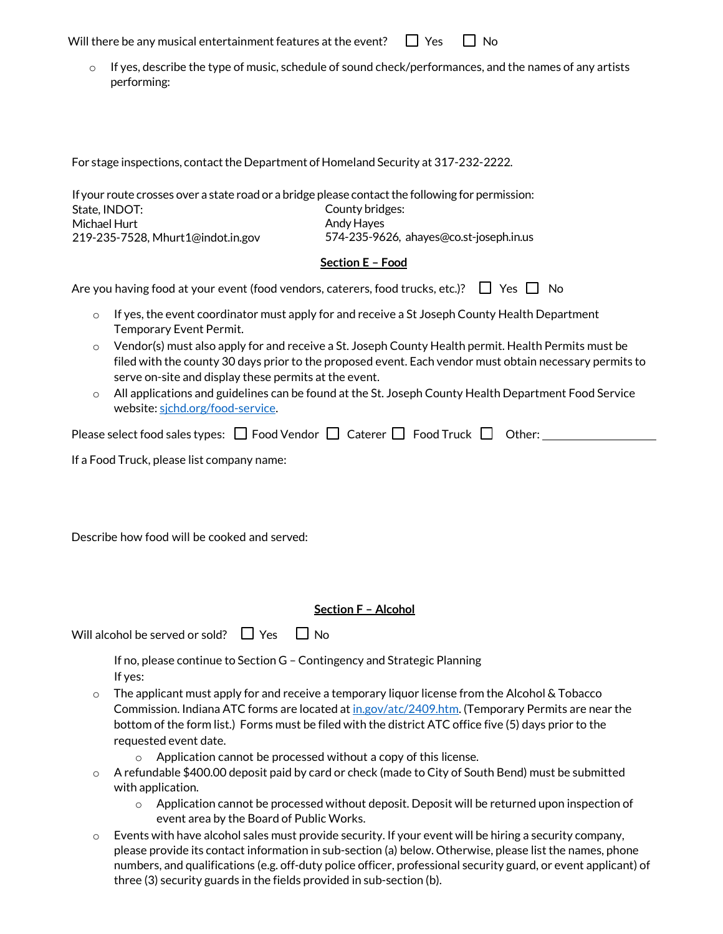Will there be any musical entertainment features at the event?  $\Box$  Yes  $\Box$  No

 $\circ$  If yes, describe the type of music, schedule of sound check/performances, and the names of any artists performing:

For stage inspections, contact the Department of Homeland Security at 317-232-2222.

If your route crosses over a state road or a bridge please contact the following for permission: State, INDOT: Michael Hurt 219-235-7528, [Mhurt1@indot.in.gov](mailto:Mhurt1@indot.in.gov) County bridges: Andy Hayes 574-235-9626, [ahayes@co.st-joseph.in.us](mailto:ahayes@co.st-joseph.in.us)

#### **Section E – Food**

| Are you having food at your event (food vendors, caterers, food trucks, etc.)? $\Box$ Yes $\Box$ No |  |  |  |  |
|-----------------------------------------------------------------------------------------------------|--|--|--|--|
|-----------------------------------------------------------------------------------------------------|--|--|--|--|

- $\circ$  If yes, the event coordinator must apply for and receive a St Joseph County Health Department Temporary Event Permit.
- $\circ$  Vendor(s) must also apply for and receive a St. Joseph County Health permit. Health Permits must be filed with the county 30 days prior to the proposed event. Each vendor must obtain necessary permits to serve on-site and display these permits at the event.
- $\circ$  All applications and guidelines can be found at the St. Joseph County Health Department Food Service website: sjchd.org/food-service.

| Please select food sales types: $\Box$ Food Vendor $\Box$ Caterer $\Box$ Food Truck $\Box$ Other: |  |  |  |  |
|---------------------------------------------------------------------------------------------------|--|--|--|--|
|---------------------------------------------------------------------------------------------------|--|--|--|--|

If a Food Truck, please list company name:

Describe how food will be cooked and served:

### **Section F – Alcohol**

| $\Box$ Yes<br>$\Box$ No<br>Will alcohol be served or sold? |
|------------------------------------------------------------|
|------------------------------------------------------------|

If no, please continue to Section G – Contingency and Strategic Planning If yes:

- $\circ$  The applicant must apply for and receive a temporary liquor license from the Alcohol & Tobacco Commission. Indiana ATC forms are located at in.gov/atc/2409.htm. (Temporary Permits are near the bottom of the form list.) Forms must be filed with the district ATC office five (5) days prior to the requested event date.
	- o Application cannot be processed without a copy of this license.
- o A refundable \$400.00 deposit paid by card or check (made to City of South Bend) must be submitted with application.
	- $\circ$  Application cannot be processed without deposit. Deposit will be returned upon inspection of event area by the Board of Public Works.
- $\circ$  Events with have alcohol sales must provide security. If your event will be hiring a security company, please provide its contact information in sub-section (a) below. Otherwise, please list the names, phone numbers, and qualifications (e.g. off-duty police officer, professional security guard, or event applicant) of three (3) security guards in the fields provided in sub-section (b).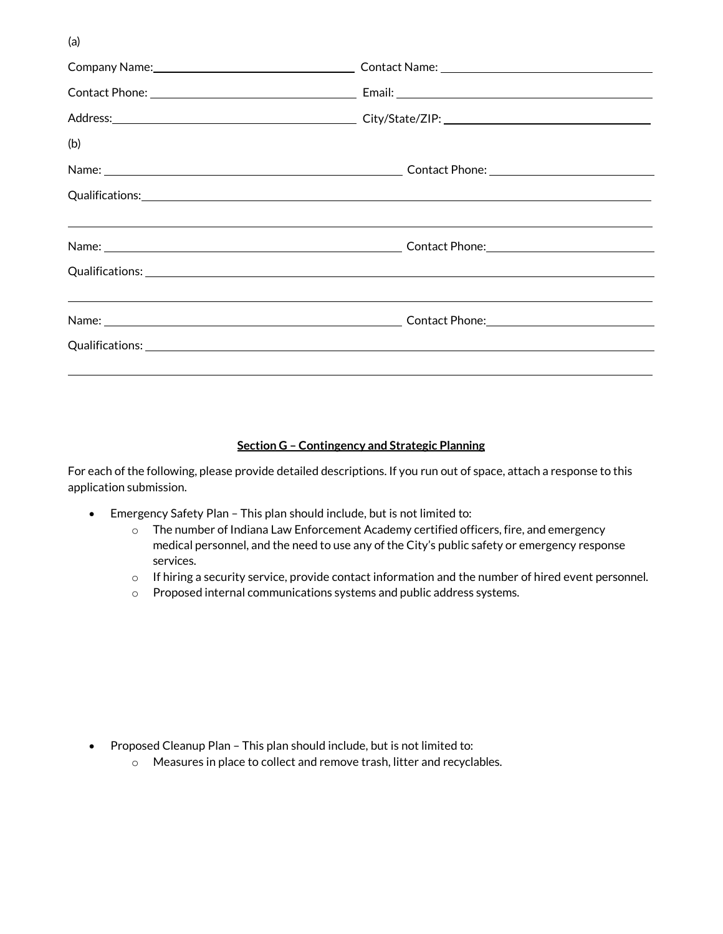(a)

|     | Company Name: Company Name: Company Name: Company Name: Company Name: Company Name: Company Name: Company Name |  |
|-----|----------------------------------------------------------------------------------------------------------------|--|
|     |                                                                                                                |  |
|     |                                                                                                                |  |
| (b) |                                                                                                                |  |
|     |                                                                                                                |  |
|     |                                                                                                                |  |
|     |                                                                                                                |  |
|     |                                                                                                                |  |
|     |                                                                                                                |  |
|     |                                                                                                                |  |
|     |                                                                                                                |  |

## **Section G – Contingency and Strategic Planning**

For each of the following, please provide detailed descriptions. If you run out of space, attach a response to this application submission.

- Emergency Safety Plan This plan should include, but is not limited to:
	- o The number of Indiana Law Enforcement Academy certified officers, fire, and emergency medical personnel, and the need to use any of the City's public safety or emergency response services.
	- $\circ$  If hiring a security service, provide contact information and the number of hired event personnel.
	- o Proposed internal communications systems and public address systems.

- Proposed Cleanup Plan This plan should include, but is not limited to:
	- o Measures in place to collect and remove trash, litter and recyclables.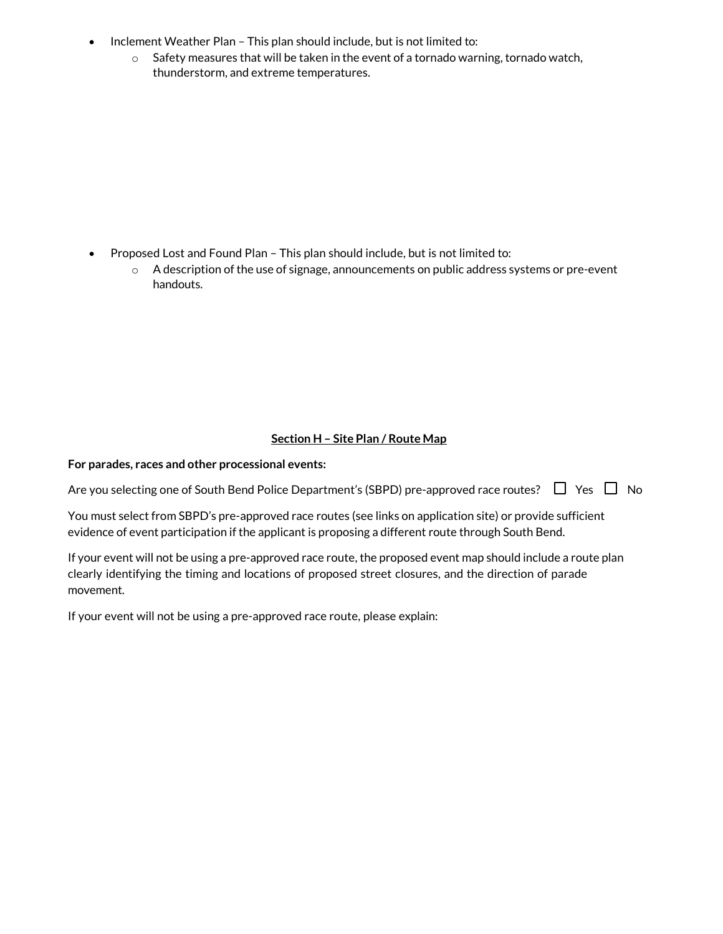- Inclement Weather Plan This plan should include, but is not limited to:
	- $\circ$  Safety measures that will be taken in the event of a tornado warning, tornado watch, thunderstorm, and extreme temperatures.

- Proposed Lost and Found Plan This plan should include, but is not limited to:
	- $\circ$  A description of the use of signage, announcements on public address systems or pre-event handouts.

# **Section H – Site Plan / Route Map**

### **For parades, races and other processional events:**

Are you selecting one of South Bend Police Department's (SBPD) pre-approved race routes?  $\Box$  Yes  $\Box$  No

You must select from SBPD's pre-approved race routes (see links on application site) or provide sufficient evidence of event participation if the applicant is proposing a different route through South Bend.

If your event will not be using a pre-approved race route, the proposed event map should include a route plan clearly identifying the timing and locations of proposed street closures, and the direction of parade movement.

If your event will not be using a pre-approved race route, please explain: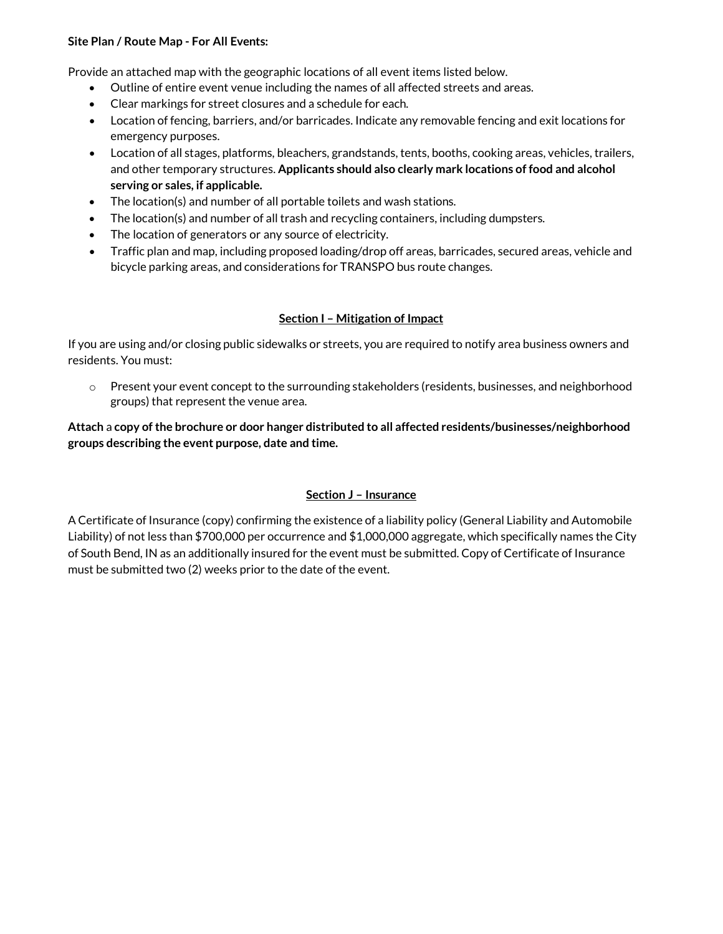### **Site Plan / Route Map - For All Events:**

Provide an attached map with the geographic locations of all event items listed below.

- Outline of entire event venue including the names of all affected streets and areas.
- Clear markings for street closures and a schedule for each.
- Location of fencing, barriers, and/or barricades. Indicate any removable fencing and exit locations for emergency purposes.
- Location of all stages, platforms, bleachers, grandstands, tents, booths, cooking areas, vehicles, trailers, and other temporary structures. **Applicants should also clearly mark locations of food and alcohol serving or sales, if applicable.**
- The location(s) and number of all portable toilets and wash stations.
- The location(s) and number of all trash and recycling containers, including dumpsters.
- The location of generators or any source of electricity.
- Traffic plan and map, including proposed loading/drop off areas, barricades, secured areas, vehicle and bicycle parking areas, and considerations for TRANSPO bus route changes.

## **Section I – Mitigation of Impact**

If you are using and/or closing public sidewalks or streets, you are required to notify area business owners and residents. You must:

 $\circ$  Present your event concept to the surrounding stakeholders (residents, businesses, and neighborhood groups) that represent the venue area.

# **Attach** a **copy of the brochure or door hanger distributed to all affected residents/businesses/neighborhood groups describing the event purpose, date and time.**

# **Section J – Insurance**

A Certificate of Insurance (copy) confirming the existence of a liability policy (General Liability and Automobile Liability) of not less than \$700,000 per occurrence and \$1,000,000 aggregate, which specifically names the City of South Bend, IN as an additionally insured for the event must be submitted. Copy of Certificate of Insurance must be submitted two (2) weeks prior to the date of the event.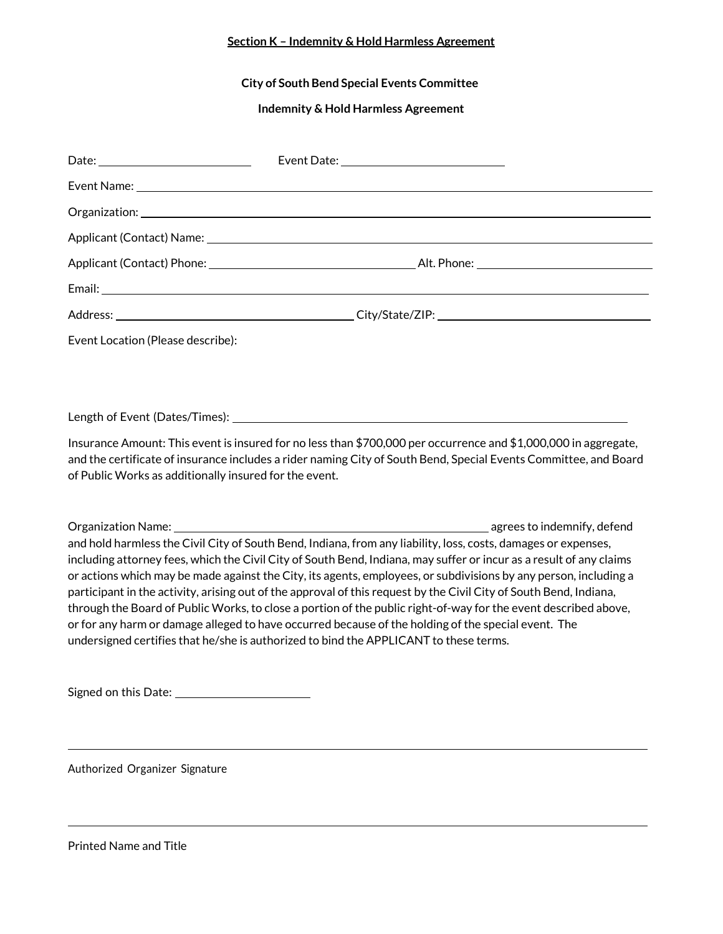# **Section K – Indemnity & Hold Harmless Agreement**

## **City of South Bend Special Events Committee**

#### **Indemnity & Hold Harmless Agreement**

| Event Location (Please describe):                      |                                                                                                                                                                                                                                                                                                                                                                                                                                                                                                                                                                                                                                                                                                                                                                                                    |  |
|--------------------------------------------------------|----------------------------------------------------------------------------------------------------------------------------------------------------------------------------------------------------------------------------------------------------------------------------------------------------------------------------------------------------------------------------------------------------------------------------------------------------------------------------------------------------------------------------------------------------------------------------------------------------------------------------------------------------------------------------------------------------------------------------------------------------------------------------------------------------|--|
|                                                        |                                                                                                                                                                                                                                                                                                                                                                                                                                                                                                                                                                                                                                                                                                                                                                                                    |  |
|                                                        |                                                                                                                                                                                                                                                                                                                                                                                                                                                                                                                                                                                                                                                                                                                                                                                                    |  |
|                                                        |                                                                                                                                                                                                                                                                                                                                                                                                                                                                                                                                                                                                                                                                                                                                                                                                    |  |
| of Public Works as additionally insured for the event. | Insurance Amount: This event is insured for no less than \$700,000 per occurrence and \$1,000,000 in aggregate,<br>and the certificate of insurance includes a rider naming City of South Bend, Special Events Committee, and Board                                                                                                                                                                                                                                                                                                                                                                                                                                                                                                                                                                |  |
|                                                        |                                                                                                                                                                                                                                                                                                                                                                                                                                                                                                                                                                                                                                                                                                                                                                                                    |  |
|                                                        | and hold harmless the Civil City of South Bend, Indiana, from any liability, loss, costs, damages or expenses,<br>including attorney fees, which the Civil City of South Bend, Indiana, may suffer or incur as a result of any claims<br>or actions which may be made against the City, its agents, employees, or subdivisions by any person, including a<br>participant in the activity, arising out of the approval of this request by the Civil City of South Bend, Indiana,<br>through the Board of Public Works, to close a portion of the public right-of-way for the event described above,<br>or for any harm or damage alleged to have occurred because of the holding of the special event. The<br>undersigned certifies that he/she is authorized to bind the APPLICANT to these terms. |  |

Signed on this Date:

Authorized Organizer Signature

Printed Name and Title